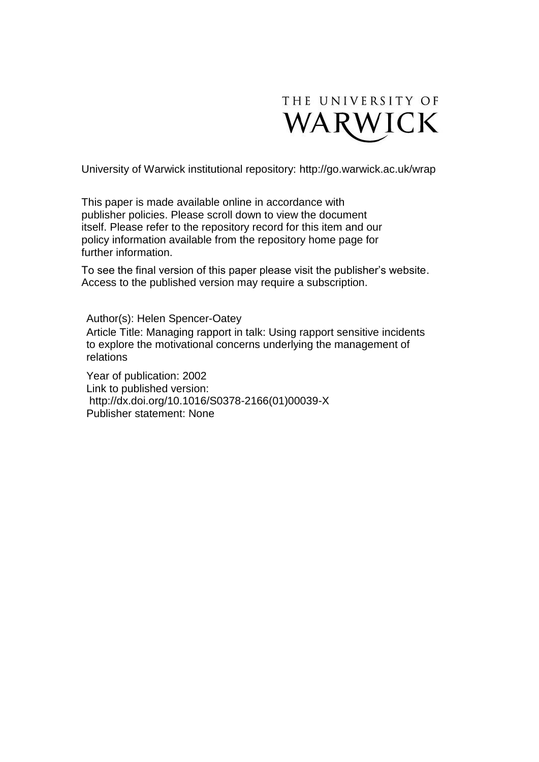

University of Warwick institutional repository:<http://go.warwick.ac.uk/wrap>

This paper is made available online in accordance with publisher policies. Please scroll down to view the document itself. Please refer to the repository record for this item and our policy information available from the repository home page for further information.

To see the final version of this paper please visit the publisher's website. Access to the published version may require a subscription.

Author(s): Helen Spencer-Oatey Article Title: Managing rapport in talk: Using rapport sensitive incidents to explore the motivational concerns underlying the management of relations

Year of publication: 2002 Link to published version: http://dx.doi.org/10.1016/S0378-2166(01)00039-X Publisher statement: None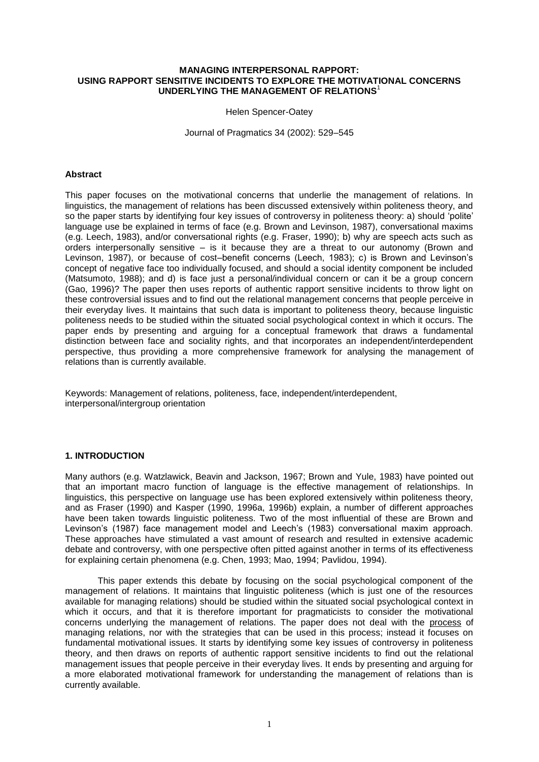## **MANAGING INTERPERSONAL RAPPORT: USING RAPPORT SENSITIVE INCIDENTS TO EXPLORE THE MOTIVATIONAL CONCERNS UNDERLYING THE MANAGEMENT OF RELATIONS**<sup>1</sup>

Helen Spencer-Oatey

Journal of Pragmatics 34 (2002): 529–545

### **Abstract**

This paper focuses on the motivational concerns that underlie the management of relations. In linguistics, the management of relations has been discussed extensively within politeness theory, and so the paper starts by identifying four key issues of controversy in politeness theory: a) should 'polite' language use be explained in terms of face (e.g. Brown and Levinson, 1987), conversational maxims (e.g. Leech, 1983), and/or conversational rights (e.g. Fraser, 1990); b) why are speech acts such as orders interpersonally sensitive – is it because they are a threat to our autonomy (Brown and Levinson, 1987), or because of cost–benefit concerns (Leech, 1983); c) is Brown and Levinson"s concept of negative face too individually focused, and should a social identity component be included (Matsumoto, 1988); and d) is face just a personal/individual concern or can it be a group concern (Gao, 1996)? The paper then uses reports of authentic rapport sensitive incidents to throw light on these controversial issues and to find out the relational management concerns that people perceive in their everyday lives. It maintains that such data is important to politeness theory, because linguistic politeness needs to be studied within the situated social psychological context in which it occurs. The paper ends by presenting and arguing for a conceptual framework that draws a fundamental distinction between face and sociality rights, and that incorporates an independent/interdependent perspective, thus providing a more comprehensive framework for analysing the management of relations than is currently available.

Keywords: Management of relations, politeness, face, independent/interdependent, interpersonal/intergroup orientation

## **1. INTRODUCTION**

Many authors (e.g. Watzlawick, Beavin and Jackson, 1967; Brown and Yule, 1983) have pointed out that an important macro function of language is the effective management of relationships. In linguistics, this perspective on language use has been explored extensively within politeness theory, and as Fraser (1990) and Kasper (1990, 1996a, 1996b) explain, a number of different approaches have been taken towards linguistic politeness. Two of the most influential of these are Brown and Levinson's (1987) face management model and Leech's (1983) conversational maxim approach. These approaches have stimulated a vast amount of research and resulted in extensive academic debate and controversy, with one perspective often pitted against another in terms of its effectiveness for explaining certain phenomena (e.g. Chen, 1993; Mao, 1994; Pavlidou, 1994).

This paper extends this debate by focusing on the social psychological component of the management of relations. It maintains that linguistic politeness (which is just one of the resources available for managing relations) should be studied within the situated social psychological context in which it occurs, and that it is therefore important for pragmaticists to consider the motivational concerns underlying the management of relations. The paper does not deal with the process of managing relations, nor with the strategies that can be used in this process; instead it focuses on fundamental motivational issues. It starts by identifying some key issues of controversy in politeness theory, and then draws on reports of authentic rapport sensitive incidents to find out the relational management issues that people perceive in their everyday lives. It ends by presenting and arguing for a more elaborated motivational framework for understanding the management of relations than is currently available.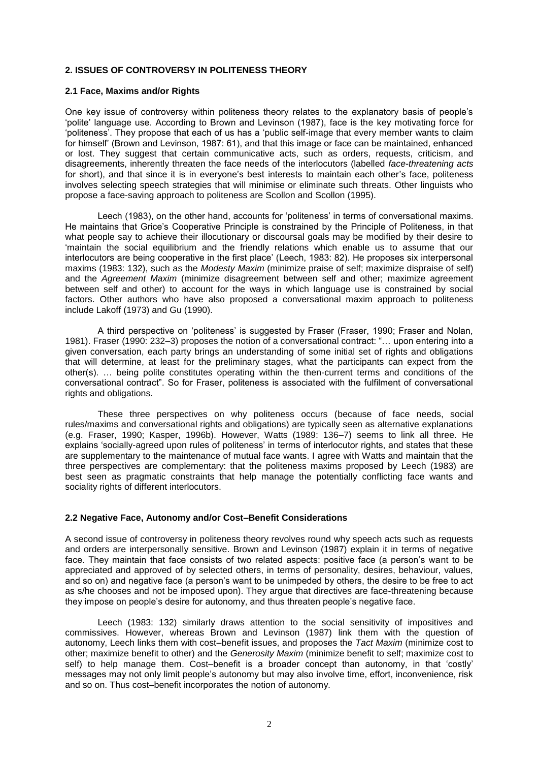# **2. ISSUES OF CONTROVERSY IN POLITENESS THEORY**

## **2.1 Face, Maxims and/or Rights**

One key issue of controversy within politeness theory relates to the explanatory basis of people"s "polite" language use. According to Brown and Levinson (1987), face is the key motivating force for 'politeness'. They propose that each of us has a 'public self-image that every member wants to claim for himself" (Brown and Levinson, 1987: 61), and that this image or face can be maintained, enhanced or lost. They suggest that certain communicative acts, such as orders, requests, criticism, and disagreements, inherently threaten the face needs of the interlocutors (labelled *face-threatening acts* for short), and that since it is in everyone's best interests to maintain each other's face, politeness involves selecting speech strategies that will minimise or eliminate such threats. Other linguists who propose a face-saving approach to politeness are Scollon and Scollon (1995).

Leech (1983), on the other hand, accounts for 'politeness' in terms of conversational maxims. He maintains that Grice"s Cooperative Principle is constrained by the Principle of Politeness, in that what people say to achieve their illocutionary or discoursal goals may be modified by their desire to "maintain the social equilibrium and the friendly relations which enable us to assume that our interlocutors are being cooperative in the first place" (Leech, 1983: 82). He proposes six interpersonal maxims (1983: 132), such as the *Modesty Maxim* (minimize praise of self; maximize dispraise of self) and the *Agreement Maxim* (minimize disagreement between self and other; maximize agreement between self and other) to account for the ways in which language use is constrained by social factors. Other authors who have also proposed a conversational maxim approach to politeness include Lakoff (1973) and Gu (1990).

A third perspective on "politeness" is suggested by Fraser (Fraser, 1990; Fraser and Nolan, 1981). Fraser (1990: 232–3) proposes the notion of a conversational contract: "… upon entering into a given conversation, each party brings an understanding of some initial set of rights and obligations that will determine, at least for the preliminary stages, what the participants can expect from the other(s). … being polite constitutes operating within the then-current terms and conditions of the conversational contract". So for Fraser, politeness is associated with the fulfilment of conversational rights and obligations.

These three perspectives on why politeness occurs (because of face needs, social rules/maxims and conversational rights and obligations) are typically seen as alternative explanations (e.g. Fraser, 1990; Kasper, 1996b). However, Watts (1989: 136–7) seems to link all three. He explains 'socially-agreed upon rules of politeness' in terms of interlocutor rights, and states that these are supplementary to the maintenance of mutual face wants. I agree with Watts and maintain that the three perspectives are complementary: that the politeness maxims proposed by Leech (1983) are best seen as pragmatic constraints that help manage the potentially conflicting face wants and sociality rights of different interlocutors.

## **2.2 Negative Face, Autonomy and/or Cost–Benefit Considerations**

A second issue of controversy in politeness theory revolves round why speech acts such as requests and orders are interpersonally sensitive. Brown and Levinson (1987) explain it in terms of negative face. They maintain that face consists of two related aspects: positive face (a person"s want to be appreciated and approved of by selected others, in terms of personality, desires, behaviour, values, and so on) and negative face (a person"s want to be unimpeded by others, the desire to be free to act as s/he chooses and not be imposed upon). They argue that directives are face-threatening because they impose on people"s desire for autonomy, and thus threaten people"s negative face.

Leech (1983: 132) similarly draws attention to the social sensitivity of impositives and commissives. However, whereas Brown and Levinson (1987) link them with the question of autonomy, Leech links them with cost–benefit issues, and proposes the *Tact Maxim* (minimize cost to other; maximize benefit to other) and the *Generosity Maxim* (minimize benefit to self; maximize cost to self) to help manage them. Cost–benefit is a broader concept than autonomy, in that 'costly' messages may not only limit people"s autonomy but may also involve time, effort, inconvenience, risk and so on. Thus cost–benefit incorporates the notion of autonomy.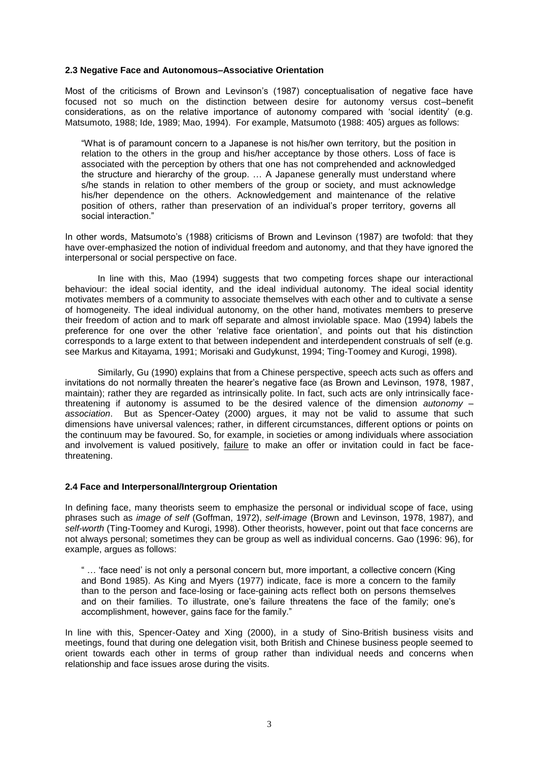## **2.3 Negative Face and Autonomous–Associative Orientation**

Most of the criticisms of Brown and Levinson"s (1987) conceptualisation of negative face have focused not so much on the distinction between desire for autonomy versus cost–benefit considerations, as on the relative importance of autonomy compared with "social identity" (e.g. Matsumoto, 1988; Ide, 1989; Mao, 1994). For example, Matsumoto (1988: 405) argues as follows:

"What is of paramount concern to a Japanese is not his/her own territory, but the position in relation to the others in the group and his/her acceptance by those others. Loss of face is associated with the perception by others that one has not comprehended and acknowledged the structure and hierarchy of the group. … A Japanese generally must understand where s/he stands in relation to other members of the group or society, and must acknowledge his/her dependence on the others. Acknowledgement and maintenance of the relative position of others, rather than preservation of an individual"s proper territory, governs all social interaction."

In other words, Matsumoto's (1988) criticisms of Brown and Levinson (1987) are twofold: that they have over-emphasized the notion of individual freedom and autonomy, and that they have ignored the interpersonal or social perspective on face.

In line with this, Mao (1994) suggests that two competing forces shape our interactional behaviour: the ideal social identity, and the ideal individual autonomy. The ideal social identity motivates members of a community to associate themselves with each other and to cultivate a sense of homogeneity. The ideal individual autonomy, on the other hand, motivates members to preserve their freedom of action and to mark off separate and almost inviolable space. Mao (1994) labels the preference for one over the other "relative face orientation", and points out that his distinction corresponds to a large extent to that between independent and interdependent construals of self (e.g. see Markus and Kitayama, 1991; Morisaki and Gudykunst, 1994; Ting-Toomey and Kurogi, 1998).

Similarly, Gu (1990) explains that from a Chinese perspective, speech acts such as offers and invitations do not normally threaten the hearer"s negative face (as Brown and Levinson, 1978, 1987, maintain); rather they are regarded as intrinsically polite. In fact, such acts are only intrinsically facethreatening if autonomy is assumed to be the desired valence of the dimension *autonomy – association*. But as Spencer-Oatey (2000) argues, it may not be valid to assume that such dimensions have universal valences; rather, in different circumstances, different options or points on the continuum may be favoured. So, for example, in societies or among individuals where association and involvement is valued positively, failure to make an offer or invitation could in fact be facethreatening.

# **2.4 Face and Interpersonal/Intergroup Orientation**

In defining face, many theorists seem to emphasize the personal or individual scope of face, using phrases such as *image of self* (Goffman, 1972), *self-image* (Brown and Levinson, 1978, 1987), and *self-worth* (Ting-Toomey and Kurogi, 1998). Other theorists, however, point out that face concerns are not always personal; sometimes they can be group as well as individual concerns. Gao (1996: 96), for example, argues as follows:

" … "face need" is not only a personal concern but, more important, a collective concern (King and Bond 1985). As King and Myers (1977) indicate, face is more a concern to the family than to the person and face-losing or face-gaining acts reflect both on persons themselves and on their families. To illustrate, one's failure threatens the face of the family; one's accomplishment, however, gains face for the family."

In line with this, Spencer-Oatey and Xing (2000), in a study of Sino-British business visits and meetings, found that during one delegation visit, both British and Chinese business people seemed to orient towards each other in terms of group rather than individual needs and concerns when relationship and face issues arose during the visits.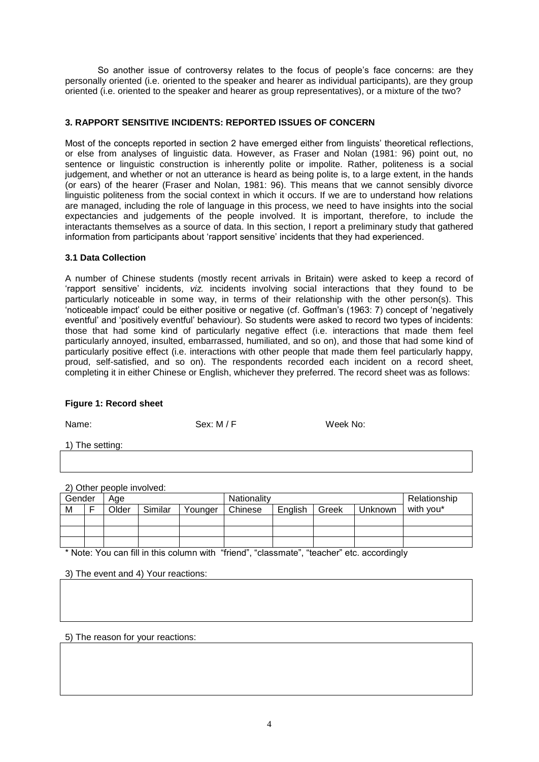So another issue of controversy relates to the focus of people"s face concerns: are they personally oriented (i.e. oriented to the speaker and hearer as individual participants), are they group oriented (i.e. oriented to the speaker and hearer as group representatives), or a mixture of the two?

# **3. RAPPORT SENSITIVE INCIDENTS: REPORTED ISSUES OF CONCERN**

Most of the concepts reported in section 2 have emerged either from linguists' theoretical reflections, or else from analyses of linguistic data. However, as Fraser and Nolan (1981: 96) point out, no sentence or linguistic construction is inherently polite or impolite. Rather, politeness is a social judgement, and whether or not an utterance is heard as being polite is, to a large extent, in the hands (or ears) of the hearer (Fraser and Nolan, 1981: 96). This means that we cannot sensibly divorce linguistic politeness from the social context in which it occurs. If we are to understand how relations are managed, including the role of language in this process, we need to have insights into the social expectancies and judgements of the people involved. It is important, therefore, to include the interactants themselves as a source of data. In this section, I report a preliminary study that gathered information from participants about "rapport sensitive" incidents that they had experienced.

# **3.1 Data Collection**

A number of Chinese students (mostly recent arrivals in Britain) were asked to keep a record of "rapport sensitive" incidents, *viz.* incidents involving social interactions that they found to be particularly noticeable in some way, in terms of their relationship with the other person(s). This "noticeable impact" could be either positive or negative (cf. Goffman"s (1963: 7) concept of "negatively eventful" and "positively eventful" behaviour). So students were asked to record two types of incidents: those that had some kind of particularly negative effect (i.e. interactions that made them feel particularly annoyed, insulted, embarrassed, humiliated, and so on), and those that had some kind of particularly positive effect (i.e. interactions with other people that made them feel particularly happy, proud, self-satisfied, and so on). The respondents recorded each incident on a record sheet, completing it in either Chinese or English, whichever they preferred. The record sheet was as follows:

# **Figure 1: Record sheet**

Name: Sex: M / F Week No:

1) The setting:

2) Other people involved:

| Gender |  | Age   |         |         | Nationality |                |       |         | Relationship |
|--------|--|-------|---------|---------|-------------|----------------|-------|---------|--------------|
| М      |  | Older | Similar | Younger | Chinese     | <b>English</b> | Greek | Unknown | with vou*    |
|        |  |       |         |         |             |                |       |         |              |
|        |  |       |         |         |             |                |       |         |              |
|        |  |       |         |         |             |                |       |         |              |

\* Note: You can fill in this column with "friend", "classmate", "teacher" etc. accordingly

3) The event and 4) Your reactions:

5) The reason for your reactions: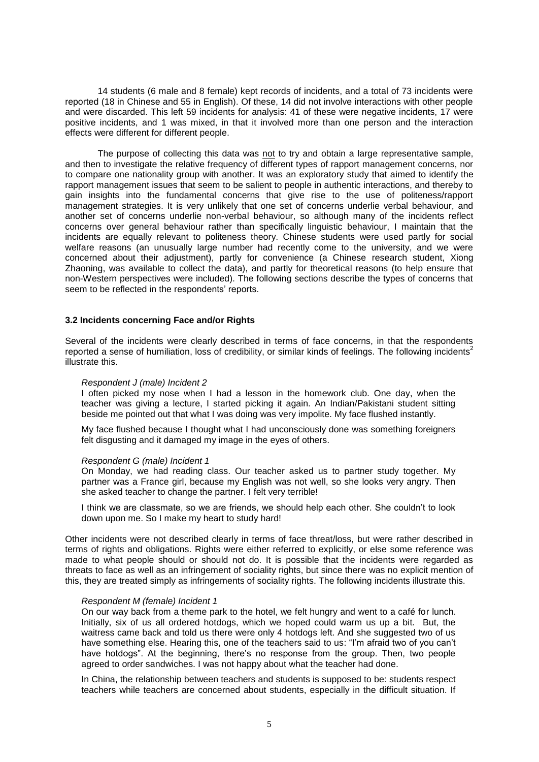14 students (6 male and 8 female) kept records of incidents, and a total of 73 incidents were reported (18 in Chinese and 55 in English). Of these, 14 did not involve interactions with other people and were discarded. This left 59 incidents for analysis: 41 of these were negative incidents, 17 were positive incidents, and 1 was mixed, in that it involved more than one person and the interaction effects were different for different people.

The purpose of collecting this data was not to try and obtain a large representative sample, and then to investigate the relative frequency of different types of rapport management concerns, nor to compare one nationality group with another. It was an exploratory study that aimed to identify the rapport management issues that seem to be salient to people in authentic interactions, and thereby to gain insights into the fundamental concerns that give rise to the use of politeness/rapport management strategies. It is very unlikely that one set of concerns underlie verbal behaviour, and another set of concerns underlie non-verbal behaviour, so although many of the incidents reflect concerns over general behaviour rather than specifically linguistic behaviour, I maintain that the incidents are equally relevant to politeness theory. Chinese students were used partly for social welfare reasons (an unusually large number had recently come to the university, and we were concerned about their adjustment), partly for convenience (a Chinese research student, Xiong Zhaoning, was available to collect the data), and partly for theoretical reasons (to help ensure that non-Western perspectives were included). The following sections describe the types of concerns that seem to be reflected in the respondents' reports.

### **3.2 Incidents concerning Face and/or Rights**

Several of the incidents were clearly described in terms of face concerns, in that the respondents reported a sense of humiliation, loss of credibility, or similar kinds of feelings. The following incidents<sup>2</sup> illustrate this.

#### *Respondent J (male) Incident 2*

I often picked my nose when I had a lesson in the homework club. One day, when the teacher was giving a lecture, I started picking it again. An Indian/Pakistani student sitting beside me pointed out that what I was doing was very impolite. My face flushed instantly.

My face flushed because I thought what I had unconsciously done was something foreigners felt disgusting and it damaged my image in the eyes of others.

## *Respondent G (male) Incident 1*

On Monday, we had reading class. Our teacher asked us to partner study together. My partner was a France girl, because my English was not well, so she looks very angry. Then she asked teacher to change the partner. I felt very terrible!

I think we are classmate, so we are friends, we should help each other. She couldn"t to look down upon me. So I make my heart to study hard!

Other incidents were not described clearly in terms of face threat/loss, but were rather described in terms of rights and obligations. Rights were either referred to explicitly, or else some reference was made to what people should or should not do. It is possible that the incidents were regarded as threats to face as well as an infringement of sociality rights, but since there was no explicit mention of this, they are treated simply as infringements of sociality rights. The following incidents illustrate this.

#### *Respondent M (female) Incident 1*

On our way back from a theme park to the hotel, we felt hungry and went to a café for lunch. Initially, six of us all ordered hotdogs, which we hoped could warm us up a bit. But, the waitress came back and told us there were only 4 hotdogs left. And she suggested two of us have something else. Hearing this, one of the teachers said to us: "I'm afraid two of you can't have hotdogs". At the beginning, there's no response from the group. Then, two people agreed to order sandwiches. I was not happy about what the teacher had done.

In China, the relationship between teachers and students is supposed to be: students respect teachers while teachers are concerned about students, especially in the difficult situation. If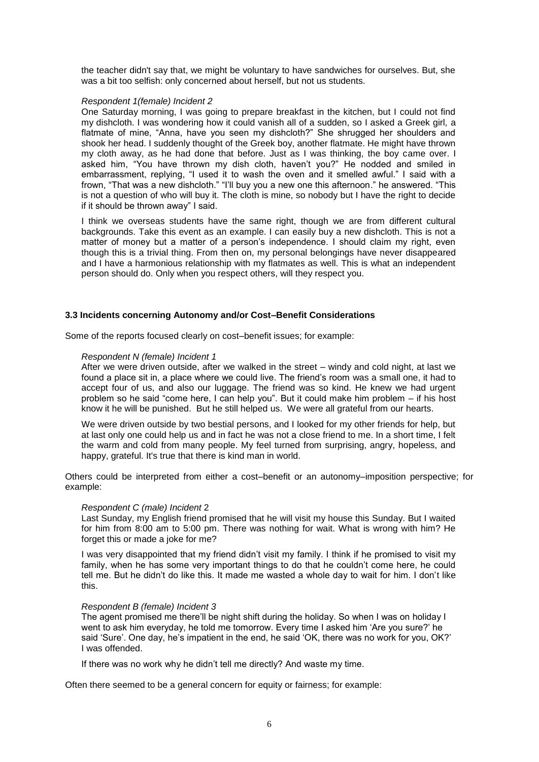the teacher didn't say that, we might be voluntary to have sandwiches for ourselves. But, she was a bit too selfish: only concerned about herself, but not us students.

### *Respondent 1(female) Incident 2*

One Saturday morning, I was going to prepare breakfast in the kitchen, but I could not find my dishcloth. I was wondering how it could vanish all of a sudden, so I asked a Greek girl, a flatmate of mine, "Anna, have you seen my dishcloth?" She shrugged her shoulders and shook her head. I suddenly thought of the Greek boy, another flatmate. He might have thrown my cloth away, as he had done that before. Just as I was thinking, the boy came over. I asked him, "You have thrown my dish cloth, haven"t you?" He nodded and smiled in embarrassment, replying, "I used it to wash the oven and it smelled awful." I said with a frown, "That was a new dishcloth." "I"ll buy you a new one this afternoon." he answered. "This is not a question of who will buy it. The cloth is mine, so nobody but I have the right to decide if it should be thrown away" I said.

I think we overseas students have the same right, though we are from different cultural backgrounds. Take this event as an example. I can easily buy a new dishcloth. This is not a matter of money but a matter of a person"s independence. I should claim my right, even though this is a trivial thing. From then on, my personal belongings have never disappeared and I have a harmonious relationship with my flatmates as well. This is what an independent person should do. Only when you respect others, will they respect you.

## **3.3 Incidents concerning Autonomy and/or Cost–Benefit Considerations**

Some of the reports focused clearly on cost–benefit issues; for example:

### *Respondent N (female) Incident 1*

After we were driven outside, after we walked in the street – windy and cold night, at last we found a place sit in, a place where we could live. The friend"s room was a small one, it had to accept four of us, and also our luggage. The friend was so kind. He knew we had urgent problem so he said "come here, I can help you". But it could make him problem – if his host know it he will be punished. But he still helped us. We were all grateful from our hearts.

We were driven outside by two bestial persons, and I looked for my other friends for help, but at last only one could help us and in fact he was not a close friend to me. In a short time, I felt the warm and cold from many people. My feel turned from surprising, angry, hopeless, and happy, grateful. It's true that there is kind man in world.

Others could be interpreted from either a cost–benefit or an autonomy–imposition perspective; for example:

#### *Respondent C (male) Incident* 2

Last Sunday, my English friend promised that he will visit my house this Sunday. But I waited for him from 8:00 am to 5:00 pm. There was nothing for wait. What is wrong with him? He forget this or made a joke for me?

I was very disappointed that my friend didn"t visit my family. I think if he promised to visit my family, when he has some very important things to do that he couldn"t come here, he could tell me. But he didn"t do like this. It made me wasted a whole day to wait for him. I don"t like this.

#### *Respondent B (female) Incident 3*

The agent promised me there"ll be night shift during the holiday. So when I was on holiday I went to ask him everyday, he told me tomorrow. Every time I asked him "Are you sure?" he said 'Sure'. One day, he's impatient in the end, he said 'OK, there was no work for you, OK?' I was offended.

If there was no work why he didn"t tell me directly? And waste my time.

Often there seemed to be a general concern for equity or fairness; for example: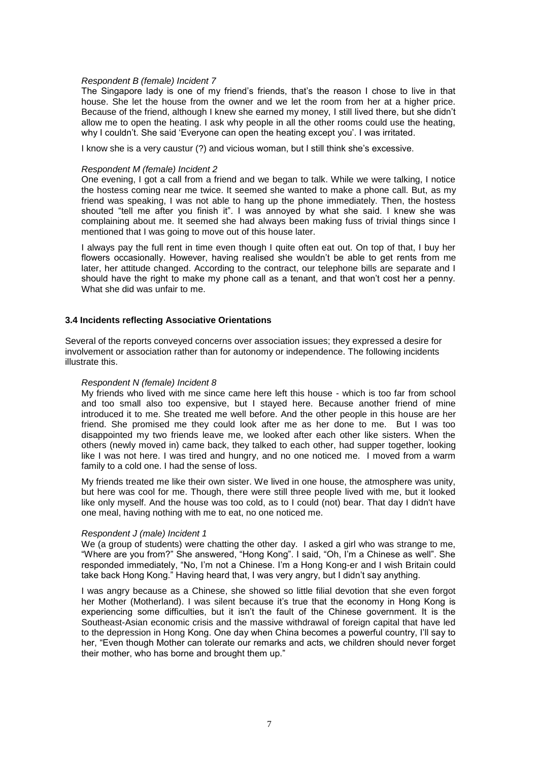## *Respondent B (female) Incident 7*

The Singapore lady is one of my friend's friends, that's the reason I chose to live in that house. She let the house from the owner and we let the room from her at a higher price. Because of the friend, although I knew she earned my money, I still lived there, but she didn"t allow me to open the heating. I ask why people in all the other rooms could use the heating, why I couldn't. She said 'Everyone can open the heating except you'. I was irritated.

I know she is a very caustur (?) and vicious woman, but I still think she"s excessive.

#### *Respondent M (female) Incident 2*

One evening, I got a call from a friend and we began to talk. While we were talking, I notice the hostess coming near me twice. It seemed she wanted to make a phone call. But, as my friend was speaking, I was not able to hang up the phone immediately. Then, the hostess shouted "tell me after you finish it". I was annoyed by what she said. I knew she was complaining about me. It seemed she had always been making fuss of trivial things since I mentioned that I was going to move out of this house later.

I always pay the full rent in time even though I quite often eat out. On top of that, I buy her flowers occasionally. However, having realised she wouldn"t be able to get rents from me later, her attitude changed. According to the contract, our telephone bills are separate and I should have the right to make my phone call as a tenant, and that won"t cost her a penny. What she did was unfair to me.

### **3.4 Incidents reflecting Associative Orientations**

Several of the reports conveyed concerns over association issues; they expressed a desire for involvement or association rather than for autonomy or independence. The following incidents illustrate this.

#### *Respondent N (female) Incident 8*

My friends who lived with me since came here left this house - which is too far from school and too small also too expensive, but I stayed here. Because another friend of mine introduced it to me. She treated me well before. And the other people in this house are her friend. She promised me they could look after me as her done to me. But I was too disappointed my two friends leave me, we looked after each other like sisters. When the others (newly moved in) came back, they talked to each other, had supper together, looking like I was not here. I was tired and hungry, and no one noticed me. I moved from a warm family to a cold one. I had the sense of loss.

My friends treated me like their own sister. We lived in one house, the atmosphere was unity, but here was cool for me. Though, there were still three people lived with me, but it looked like only myself. And the house was too cold, as to I could (not) bear. That day I didn't have one meal, having nothing with me to eat, no one noticed me.

### *Respondent J (male) Incident 1*

We (a group of students) were chatting the other day. I asked a girl who was strange to me, "Where are you from?" She answered, "Hong Kong". I said, "Oh, I"m a Chinese as well". She responded immediately, "No, I"m not a Chinese. I"m a Hong Kong-er and I wish Britain could take back Hong Kong." Having heard that, I was very angry, but I didn"t say anything.

I was angry because as a Chinese, she showed so little filial devotion that she even forgot her Mother (Motherland). I was silent because it's true that the economy in Hong Kong is experiencing some difficulties, but it isn"t the fault of the Chinese government. It is the Southeast-Asian economic crisis and the massive withdrawal of foreign capital that have led to the depression in Hong Kong. One day when China becomes a powerful country, I"ll say to her, "Even though Mother can tolerate our remarks and acts, we children should never forget their mother, who has borne and brought them up."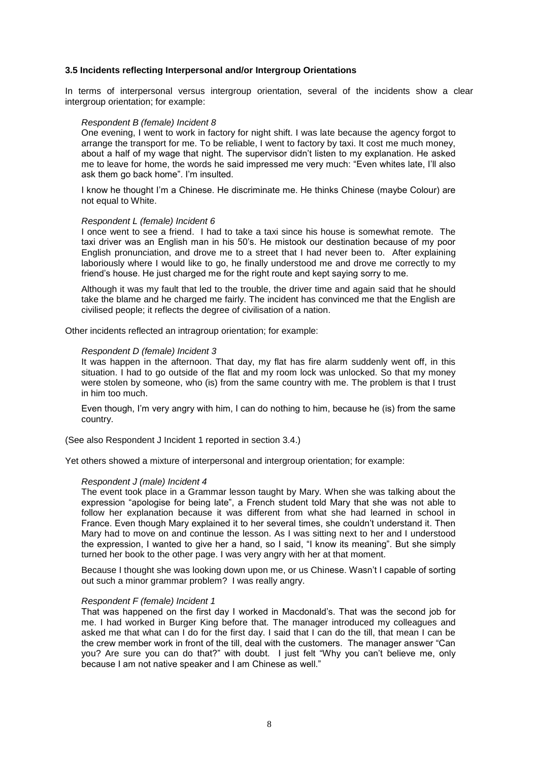### **3.5 Incidents reflecting Interpersonal and/or Intergroup Orientations**

In terms of interpersonal versus intergroup orientation, several of the incidents show a clear intergroup orientation; for example:

#### *Respondent B (female) Incident 8*

One evening, I went to work in factory for night shift. I was late because the agency forgot to arrange the transport for me. To be reliable, I went to factory by taxi. It cost me much money, about a half of my wage that night. The supervisor didn"t listen to my explanation. He asked me to leave for home, the words he said impressed me very much: "Even whites late, I"ll also ask them go back home". I'm insulted.

I know he thought I"m a Chinese. He discriminate me. He thinks Chinese (maybe Colour) are not equal to White.

#### *Respondent L (female) Incident 6*

I once went to see a friend. I had to take a taxi since his house is somewhat remote. The taxi driver was an English man in his 50"s. He mistook our destination because of my poor English pronunciation, and drove me to a street that I had never been to. After explaining laboriously where I would like to go, he finally understood me and drove me correctly to my friend"s house. He just charged me for the right route and kept saying sorry to me.

Although it was my fault that led to the trouble, the driver time and again said that he should take the blame and he charged me fairly. The incident has convinced me that the English are civilised people; it reflects the degree of civilisation of a nation.

Other incidents reflected an intragroup orientation; for example:

# *Respondent D (female) Incident 3*

It was happen in the afternoon. That day, my flat has fire alarm suddenly went off, in this situation. I had to go outside of the flat and my room lock was unlocked. So that my money were stolen by someone, who (is) from the same country with me. The problem is that I trust in him too much.

Even though, I"m very angry with him, I can do nothing to him, because he (is) from the same country.

(See also Respondent J Incident 1 reported in section 3.4.)

Yet others showed a mixture of interpersonal and intergroup orientation; for example:

#### *Respondent J (male) Incident 4*

The event took place in a Grammar lesson taught by Mary. When she was talking about the expression "apologise for being late", a French student told Mary that she was not able to follow her explanation because it was different from what she had learned in school in France. Even though Mary explained it to her several times, she couldn"t understand it. Then Mary had to move on and continue the lesson. As I was sitting next to her and I understood the expression, I wanted to give her a hand, so I said, "I know its meaning". But she simply turned her book to the other page. I was very angry with her at that moment.

Because I thought she was looking down upon me, or us Chinese. Wasn"t I capable of sorting out such a minor grammar problem? I was really angry.

## *Respondent F (female) Incident 1*

That was happened on the first day I worked in Macdonald"s. That was the second job for me. I had worked in Burger King before that. The manager introduced my colleagues and asked me that what can I do for the first day. I said that I can do the till, that mean I can be the crew member work in front of the till, deal with the customers. The manager answer "Can you? Are sure you can do that?" with doubt. I just felt "Why you can"t believe me, only because I am not native speaker and I am Chinese as well."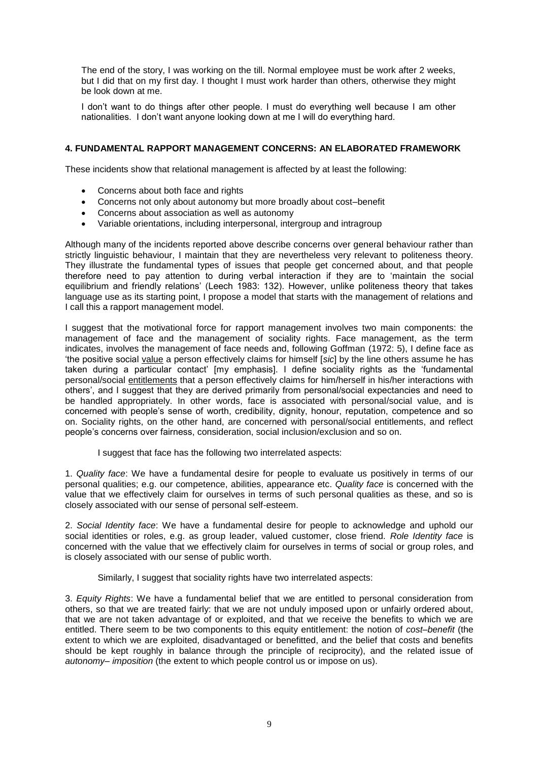The end of the story, I was working on the till. Normal employee must be work after 2 weeks, but I did that on my first day. I thought I must work harder than others, otherwise they might be look down at me.

I don"t want to do things after other people. I must do everything well because I am other nationalities. I don"t want anyone looking down at me I will do everything hard.

# **4. FUNDAMENTAL RAPPORT MANAGEMENT CONCERNS: AN ELABORATED FRAMEWORK**

These incidents show that relational management is affected by at least the following:

- Concerns about both face and rights
- Concerns not only about autonomy but more broadly about cost–benefit
- Concerns about association as well as autonomy
- Variable orientations, including interpersonal, intergroup and intragroup

Although many of the incidents reported above describe concerns over general behaviour rather than strictly linguistic behaviour, I maintain that they are nevertheless very relevant to politeness theory. They illustrate the fundamental types of issues that people get concerned about, and that people therefore need to pay attention to during verbal interaction if they are to "maintain the social equilibrium and friendly relations" (Leech 1983: 132). However, unlike politeness theory that takes language use as its starting point, I propose a model that starts with the management of relations and I call this a rapport management model.

I suggest that the motivational force for rapport management involves two main components: the management of face and the management of sociality rights. Face management, as the term indicates, involves the management of face needs and, following Goffman (1972: 5), I define face as "the positive social value a person effectively claims for himself [*sic*] by the line others assume he has taken during a particular contact" [my emphasis]. I define sociality rights as the "fundamental personal/social entitlements that a person effectively claims for him/herself in his/her interactions with others', and I suggest that they are derived primarily from personal/social expectancies and need to be handled appropriately. In other words, face is associated with personal/social value, and is concerned with people"s sense of worth, credibility, dignity, honour, reputation, competence and so on. Sociality rights, on the other hand, are concerned with personal/social entitlements, and reflect people"s concerns over fairness, consideration, social inclusion/exclusion and so on.

I suggest that face has the following two interrelated aspects:

1. *Quality face*: We have a fundamental desire for people to evaluate us positively in terms of our personal qualities; e.g. our competence, abilities, appearance etc. *Quality face* is concerned with the value that we effectively claim for ourselves in terms of such personal qualities as these, and so is closely associated with our sense of personal self-esteem.

2. *Social Identity face*: We have a fundamental desire for people to acknowledge and uphold our social identities or roles, e.g. as group leader, valued customer, close friend. *Role Identity face* is concerned with the value that we effectively claim for ourselves in terms of social or group roles, and is closely associated with our sense of public worth.

Similarly, I suggest that sociality rights have two interrelated aspects:

3. *Equity Rights*: We have a fundamental belief that we are entitled to personal consideration from others, so that we are treated fairly: that we are not unduly imposed upon or unfairly ordered about, that we are not taken advantage of or exploited, and that we receive the benefits to which we are entitled. There seem to be two components to this equity entitlement: the notion of *cost–benefit* (the extent to which we are exploited, disadvantaged or benefitted, and the belief that costs and benefits should be kept roughly in balance through the principle of reciprocity), and the related issue of *autonomy– imposition* (the extent to which people control us or impose on us).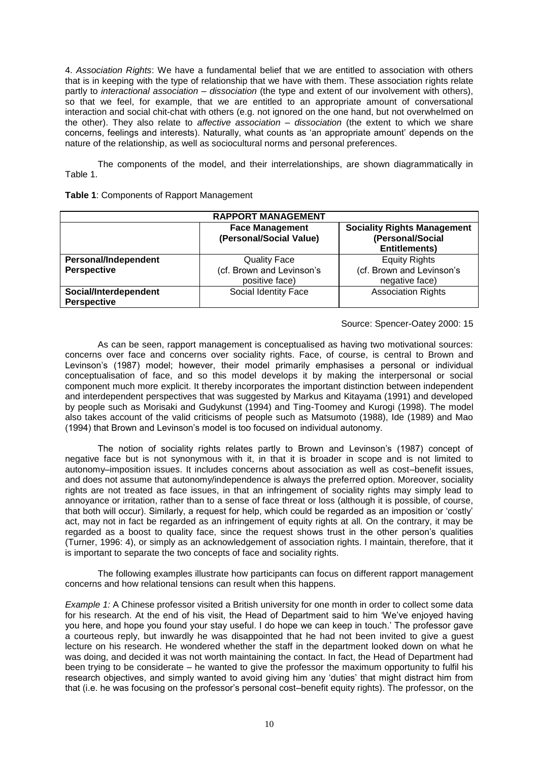4. *Association Rights*: We have a fundamental belief that we are entitled to association with others that is in keeping with the type of relationship that we have with them. These association rights relate partly to *interactional association – dissociation* (the type and extent of our involvement with others), so that we feel, for example, that we are entitled to an appropriate amount of conversational interaction and social chit-chat with others (e.g. not ignored on the one hand, but not overwhelmed on the other). They also relate to *affective association – dissociation* (the extent to which we share concerns, feelings and interests). Naturally, what counts as "an appropriate amount" depends on the nature of the relationship, as well as sociocultural norms and personal preferences.

The components of the model, and their interrelationships, are shown diagrammatically in Table 1.

**Table 1**: Components of Rapport Management

| <b>RAPPORT MANAGEMENT</b>                   |                                                                    |                                                                                |  |  |  |  |  |  |
|---------------------------------------------|--------------------------------------------------------------------|--------------------------------------------------------------------------------|--|--|--|--|--|--|
|                                             | <b>Face Management</b><br>(Personal/Social Value)                  | <b>Sociality Rights Management</b><br>(Personal/Social<br><b>Entitlements)</b> |  |  |  |  |  |  |
| Personal/Independent<br><b>Perspective</b>  | <b>Quality Face</b><br>(cf. Brown and Levinson's<br>positive face) | <b>Equity Rights</b><br>(cf. Brown and Levinson's<br>negative face)            |  |  |  |  |  |  |
| Social/Interdependent<br><b>Perspective</b> | Social Identity Face                                               | <b>Association Rights</b>                                                      |  |  |  |  |  |  |

Source: Spencer-Oatey 2000: 15

As can be seen, rapport management is conceptualised as having two motivational sources: concerns over face and concerns over sociality rights. Face, of course, is central to Brown and Levinson"s (1987) model; however, their model primarily emphasises a personal or individual conceptualisation of face, and so this model develops it by making the interpersonal or social component much more explicit. It thereby incorporates the important distinction between independent and interdependent perspectives that was suggested by Markus and Kitayama (1991) and developed by people such as Morisaki and Gudykunst (1994) and Ting-Toomey and Kurogi (1998). The model also takes account of the valid criticisms of people such as Matsumoto (1988), Ide (1989) and Mao (1994) that Brown and Levinson"s model is too focused on individual autonomy.

The notion of sociality rights relates partly to Brown and Levinson"s (1987) concept of negative face but is not synonymous with it, in that it is broader in scope and is not limited to autonomy–imposition issues. It includes concerns about association as well as cost–benefit issues, and does not assume that autonomy/independence is always the preferred option. Moreover, sociality rights are not treated as face issues, in that an infringement of sociality rights may simply lead to annoyance or irritation, rather than to a sense of face threat or loss (although it is possible, of course, that both will occur). Similarly, a request for help, which could be regarded as an imposition or "costly" act, may not in fact be regarded as an infringement of equity rights at all. On the contrary, it may be regarded as a boost to quality face, since the request shows trust in the other person"s qualities (Turner, 1996: 4), or simply as an acknowledgement of association rights. I maintain, therefore, that it is important to separate the two concepts of face and sociality rights.

The following examples illustrate how participants can focus on different rapport management concerns and how relational tensions can result when this happens.

*Example 1:* A Chinese professor visited a British university for one month in order to collect some data for his research. At the end of his visit, the Head of Department said to him "We"ve enjoyed having you here, and hope you found your stay useful. I do hope we can keep in touch." The professor gave a courteous reply, but inwardly he was disappointed that he had not been invited to give a guest lecture on his research. He wondered whether the staff in the department looked down on what he was doing, and decided it was not worth maintaining the contact. In fact, the Head of Department had been trying to be considerate – he wanted to give the professor the maximum opportunity to fulfil his research objectives, and simply wanted to avoid giving him any "duties" that might distract him from that (i.e. he was focusing on the professor"s personal cost–benefit equity rights). The professor, on the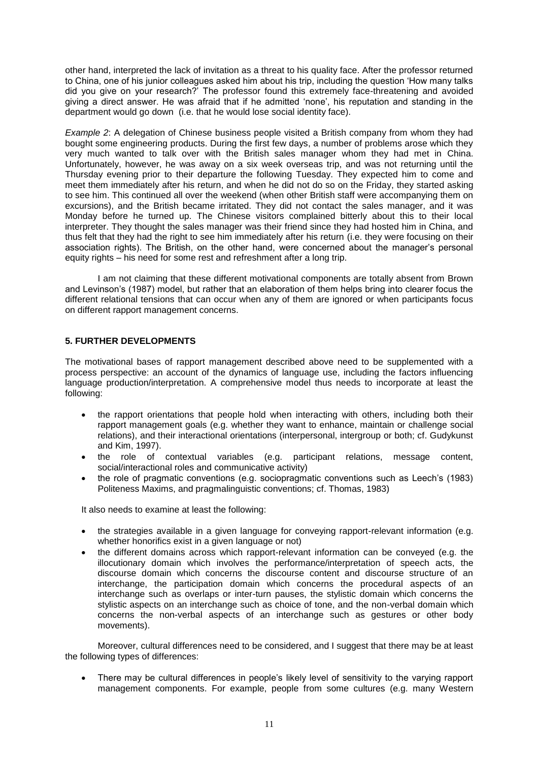other hand, interpreted the lack of invitation as a threat to his quality face. After the professor returned to China, one of his junior colleagues asked him about his trip, including the question "How many talks did you give on your research?" The professor found this extremely face-threatening and avoided giving a direct answer. He was afraid that if he admitted "none", his reputation and standing in the department would go down (i.e. that he would lose social identity face).

*Example 2*: A delegation of Chinese business people visited a British company from whom they had bought some engineering products. During the first few days, a number of problems arose which they very much wanted to talk over with the British sales manager whom they had met in China. Unfortunately, however, he was away on a six week overseas trip, and was not returning until the Thursday evening prior to their departure the following Tuesday. They expected him to come and meet them immediately after his return, and when he did not do so on the Friday, they started asking to see him. This continued all over the weekend (when other British staff were accompanying them on excursions), and the British became irritated. They did not contact the sales manager, and it was Monday before he turned up. The Chinese visitors complained bitterly about this to their local interpreter. They thought the sales manager was their friend since they had hosted him in China, and thus felt that they had the right to see him immediately after his return (i.e. they were focusing on their association rights). The British, on the other hand, were concerned about the manager"s personal equity rights – his need for some rest and refreshment after a long trip.

I am not claiming that these different motivational components are totally absent from Brown and Levinson"s (1987) model, but rather that an elaboration of them helps bring into clearer focus the different relational tensions that can occur when any of them are ignored or when participants focus on different rapport management concerns.

# **5. FURTHER DEVELOPMENTS**

The motivational bases of rapport management described above need to be supplemented with a process perspective: an account of the dynamics of language use, including the factors influencing language production/interpretation. A comprehensive model thus needs to incorporate at least the following:

- the rapport orientations that people hold when interacting with others, including both their rapport management goals (e.g. whether they want to enhance, maintain or challenge social relations), and their interactional orientations (interpersonal, intergroup or both; cf. Gudykunst and Kim, 1997).
- the role of contextual variables (e.g. participant relations, message content, social/interactional roles and communicative activity)
- the role of pragmatic conventions (e.g. sociopragmatic conventions such as Leech"s (1983) Politeness Maxims, and pragmalinguistic conventions; cf. Thomas, 1983)

It also needs to examine at least the following:

- the strategies available in a given language for conveying rapport-relevant information (e.g. whether honorifics exist in a given language or not)
- the different domains across which rapport-relevant information can be conveyed (e.g. the illocutionary domain which involves the performance/interpretation of speech acts, the discourse domain which concerns the discourse content and discourse structure of an interchange, the participation domain which concerns the procedural aspects of an interchange such as overlaps or inter-turn pauses, the stylistic domain which concerns the stylistic aspects on an interchange such as choice of tone, and the non-verbal domain which concerns the non-verbal aspects of an interchange such as gestures or other body movements).

Moreover, cultural differences need to be considered, and I suggest that there may be at least the following types of differences:

There may be cultural differences in people's likely level of sensitivity to the varying rapport management components. For example, people from some cultures (e.g. many Western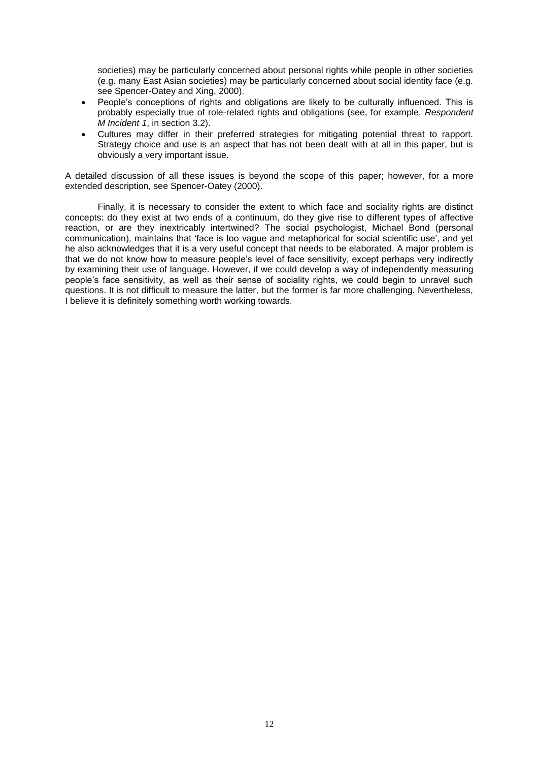societies) may be particularly concerned about personal rights while people in other societies (e.g. many East Asian societies) may be particularly concerned about social identity face (e.g. see Spencer-Oatey and Xing, 2000).

- People's conceptions of rights and obligations are likely to be culturally influenced. This is probably especially true of role-related rights and obligations (see, for example, *Respondent M Incident 1*, in section 3.2).
- Cultures may differ in their preferred strategies for mitigating potential threat to rapport. Strategy choice and use is an aspect that has not been dealt with at all in this paper, but is obviously a very important issue.

A detailed discussion of all these issues is beyond the scope of this paper; however, for a more extended description, see Spencer-Oatey (2000).

Finally, it is necessary to consider the extent to which face and sociality rights are distinct concepts: do they exist at two ends of a continuum, do they give rise to different types of affective reaction, or are they inextricably intertwined? The social psychologist, Michael Bond (personal communication), maintains that "face is too vague and metaphorical for social scientific use", and yet he also acknowledges that it is a very useful concept that needs to be elaborated. A major problem is that we do not know how to measure people"s level of face sensitivity, except perhaps very indirectly by examining their use of language. However, if we could develop a way of independently measuring people"s face sensitivity, as well as their sense of sociality rights, we could begin to unravel such questions. It is not difficult to measure the latter, but the former is far more challenging. Nevertheless, I believe it is definitely something worth working towards.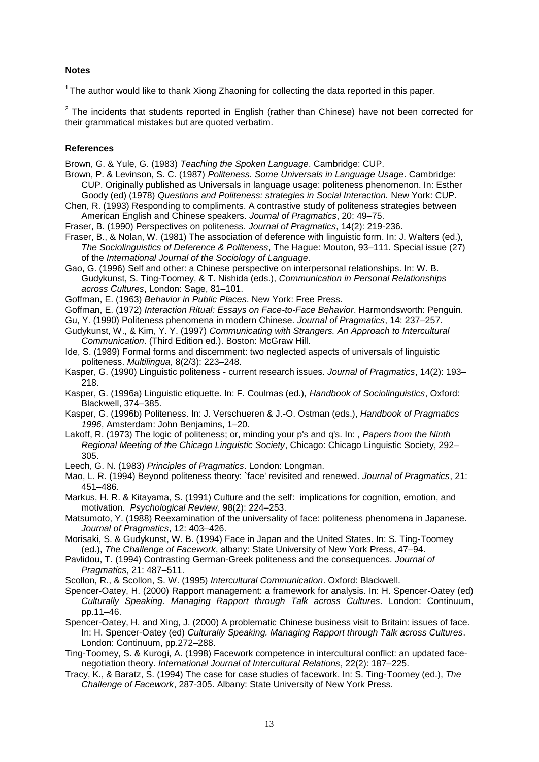## **Notes**

 $1$  The author would like to thank Xiong Zhaoning for collecting the data reported in this paper.

 $2$  The incidents that students reported in English (rather than Chinese) have not been corrected for their grammatical mistakes but are quoted verbatim.

### **References**

Brown, G. & Yule, G. (1983) *Teaching the Spoken Language*. Cambridge: CUP.

- Brown, P. & Levinson, S. C. (1987) *Politeness. Some Universals in Language Usage*. Cambridge: CUP. Originally published as Universals in language usage: politeness phenomenon. In: Esther Goody (ed) (1978) *Questions and Politeness: strategies in Social Interaction.* New York: CUP.
- Chen, R. (1993) Responding to compliments. A contrastive study of politeness strategies between American English and Chinese speakers. *Journal of Pragmatics*, 20: 49–75.
- Fraser, B. (1990) Perspectives on politeness. *Journal of Pragmatics*, 14(2): 219-236.
- Fraser, B., & Nolan, W. (1981) The association of deference with linguistic form. In: J. Walters (ed.), *The Sociolinguistics of Deference & Politeness*, The Hague: Mouton, 93–111. Special issue (27) of the *International Journal of the Sociology of Language*.
- Gao, G. (1996) Self and other: a Chinese perspective on interpersonal relationships. In: W. B. Gudykunst, S. Ting-Toomey, & T. Nishida (eds.), *Communication in Personal Relationships across Cultures*, London: Sage, 81–101.
- Goffman, E. (1963) *Behavior in Public Places*. New York: Free Press.
- Goffman, E. (1972) *Interaction Ritual: Essays on Face-to-Face Behavior*. Harmondsworth: Penguin.
- Gu, Y. (1990) Politeness phenomena in modern Chinese. *Journal of Pragmatics*, 14: 237–257.
- Gudykunst, W., & Kim, Y. Y. (1997) *Communicating with Strangers. An Approach to Intercultural Communication*. (Third Edition ed.). Boston: McGraw Hill.
- Ide, S. (1989) Formal forms and discernment: two neglected aspects of universals of linguistic politeness. *Multilingua*, 8(2/3): 223–248.
- Kasper, G. (1990) Linguistic politeness current research issues. *Journal of Pragmatics*, 14(2): 193– 218.
- Kasper, G. (1996a) Linguistic etiquette. In: F. Coulmas (ed.), *Handbook of Sociolinguistics*, Oxford: Blackwell, 374–385.
- Kasper, G. (1996b) Politeness. In: J. Verschueren & J.-O. Ostman (eds.), *Handbook of Pragmatics 1996*, Amsterdam: John Benjamins, 1–20.
- Lakoff, R. (1973) The logic of politeness; or, minding your p's and q's. In: , *Papers from the Ninth Regional Meeting of the Chicago Linguistic Society*, Chicago: Chicago Linguistic Society, 292– 305.
- Leech, G. N. (1983) *Principles of Pragmatics*. London: Longman.
- Mao, L. R. (1994) Beyond politeness theory: `face' revisited and renewed. *Journal of Pragmatics*, 21: 451–486.

Markus, H. R. & Kitayama, S. (1991) Culture and the self: implications for cognition, emotion, and motivation. *Psychological Review*, 98(2): 224–253.

- Matsumoto, Y. (1988) Reexamination of the universality of face: politeness phenomena in Japanese. *Journal of Pragmatics*, 12: 403–426.
- Morisaki, S. & Gudykunst, W. B. (1994) Face in Japan and the United States. In: S. Ting-Toomey (ed.), *The Challenge of Facework*, albany: State University of New York Press, 47–94.
- Pavlidou, T. (1994) Contrasting German-Greek politeness and the consequences. *Journal of Pragmatics*, 21: 487–511.
- Scollon, R., & Scollon, S. W. (1995) *Intercultural Communication*. Oxford: Blackwell.
- Spencer-Oatey, H. (2000) Rapport management: a framework for analysis. In: H. Spencer-Oatey (ed) *Culturally Speaking. Managing Rapport through Talk across Cultures*. London: Continuum, pp.11–46.
- Spencer-Oatey, H. and Xing, J. (2000) A problematic Chinese business visit to Britain: issues of face. In: H. Spencer-Oatey (ed) *Culturally Speaking. Managing Rapport through Talk across Cultures*. London: Continuum, pp.272–288.
- Ting-Toomey, S. & Kurogi, A. (1998) Facework competence in intercultural conflict: an updated facenegotiation theory. *International Journal of Intercultural Relations*, 22(2): 187–225.
- Tracy, K., & Baratz, S. (1994) The case for case studies of facework. In: S. Ting-Toomey (ed.), *The Challenge of Facework*, 287-305. Albany: State University of New York Press.